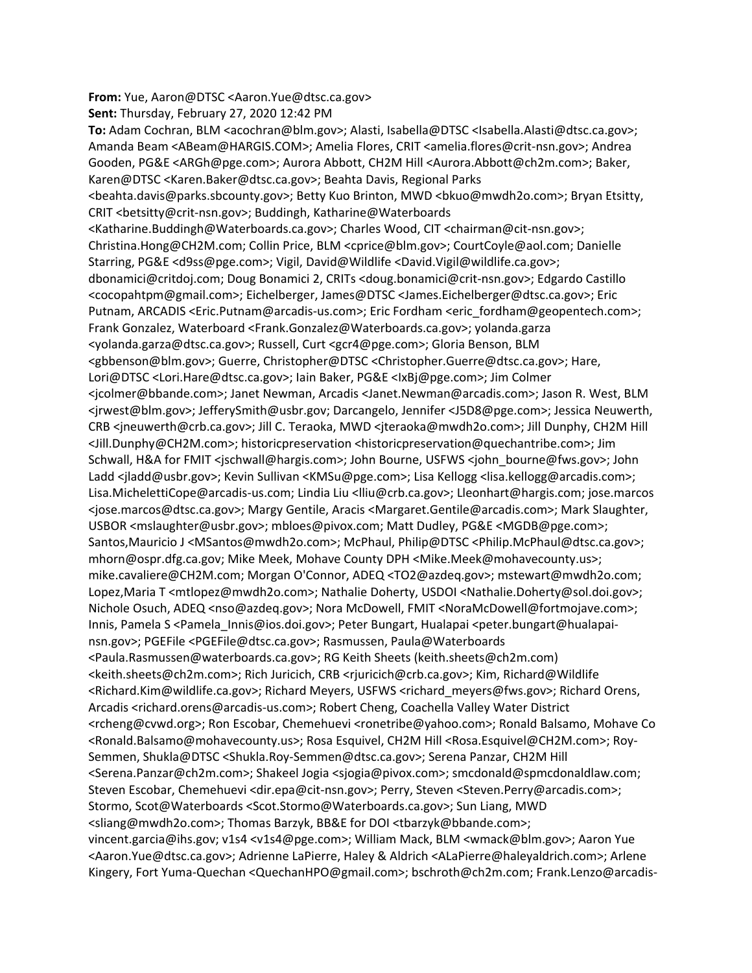**From:** Yue, Aaron@DTSC <Aaron.Yue@dtsc.ca.gov> **Sent:** Thursday, February 27, 2020 12:42 PM

To: Adam Cochran, BLM <acochran@blm.gov>; Alasti, Isabella@DTSC <Isabella.Alasti@dtsc.ca.gov>; Amanda Beam <ABeam@HARGIS.COM>; Amelia Flores, CRIT <amelia.flores@crit‐nsn.gov>; Andrea Gooden, PG&E <ARGh@pge.com>; Aurora Abbott, CH2M Hill <Aurora.Abbott@ch2m.com>; Baker, Karen@DTSC <Karen.Baker@dtsc.ca.gov>; Beahta Davis, Regional Parks <beahta.davis@parks.sbcounty.gov>; Betty Kuo Brinton, MWD <bkuo@mwdh2o.com>; Bryan Etsitty, CRIT <br />
chetsitty@crit-nsn.gov>; Buddingh, Katharine@Waterboards <Katharine.Buddingh@Waterboards.ca.gov>; Charles Wood, CIT <chairman@cit‐nsn.gov>; Christina.Hong@CH2M.com; Collin Price, BLM <cprice@blm.gov>; CourtCoyle@aol.com; Danielle Starring, PG&E <d9ss@pge.com>; Vigil, David@Wildlife <David.Vigil@wildlife.ca.gov>; dbonamici@critdoj.com; Doug Bonamici 2, CRITs <doug.bonamici@crit‐nsn.gov>; Edgardo Castillo <cocopahtpm@gmail.com>; Eichelberger, James@DTSC <James.Eichelberger@dtsc.ca.gov>; Eric Putnam, ARCADIS <Eric.Putnam@arcadis‐us.com>; Eric Fordham <eric\_fordham@geopentech.com>; Frank Gonzalez, Waterboard <Frank.Gonzalez@Waterboards.ca.gov>; yolanda.garza <yolanda.garza@dtsc.ca.gov>; Russell, Curt <gcr4@pge.com>; Gloria Benson, BLM <gbbenson@blm.gov>; Guerre, Christopher@DTSC <Christopher.Guerre@dtsc.ca.gov>; Hare, Lori@DTSC <Lori.Hare@dtsc.ca.gov>; Iain Baker, PG&E <IxBj@pge.com>; Jim Colmer <jcolmer@bbande.com>; Janet Newman, Arcadis <Janet.Newman@arcadis.com>; Jason R. West, BLM <jrwest@blm.gov>; JefferySmith@usbr.gov; Darcangelo, Jennifer <J5D8@pge.com>; Jessica Neuwerth, CRB <jneuwerth@crb.ca.gov>; Jill C. Teraoka, MWD <jteraoka@mwdh2o.com>; Jill Dunphy, CH2M Hill <Jill.Dunphy@CH2M.com>; historicpreservation <historicpreservation@quechantribe.com>; Jim Schwall, H&A for FMIT <jschwall@hargis.com>; John Bourne, USFWS <john\_bourne@fws.gov>; John Ladd <iladd@usbr.gov>; Kevin Sullivan <KMSu@pge.com>; Lisa Kellogg <lisa.kellogg@arcadis.com>; Lisa.MichelettiCope@arcadis‐us.com; Lindia Liu <lliu@crb.ca.gov>; Lleonhart@hargis.com; jose.marcos <jose.marcos@dtsc.ca.gov>; Margy Gentile, Aracis <Margaret.Gentile@arcadis.com>; Mark Slaughter, USBOR <mslaughter@usbr.gov>; mbloes@pivox.com; Matt Dudley, PG&E <MGDB@pge.com>; Santos, Mauricio J < MSantos@mwdh2o.com>; McPhaul, Philip@DTSC <Philip.McPhaul@dtsc.ca.gov>; mhorn@ospr.dfg.ca.gov; Mike Meek, Mohave County DPH <Mike.Meek@mohavecounty.us>; mike.cavaliere@CH2M.com; Morgan O'Connor, ADEQ <TO2@azdeq.gov>; mstewart@mwdh2o.com; Lopez,Maria T <mtlopez@mwdh2o.com>; Nathalie Doherty, USDOI <Nathalie.Doherty@sol.doi.gov>; Nichole Osuch, ADEQ <nso@azdeq.gov>; Nora McDowell, FMIT <NoraMcDowell@fortmojave.com>; Innis, Pamela S <Pamela Innis@ios.doi.gov>; Peter Bungart, Hualapai <peter.bungart@hualapainsn.gov>; PGEFile <PGEFile@dtsc.ca.gov>; Rasmussen, Paula@Waterboards <Paula.Rasmussen@waterboards.ca.gov>; RG Keith Sheets (keith.sheets@ch2m.com) <keith.sheets@ch2m.com>; Rich Juricich, CRB <rjuricich@crb.ca.gov>; Kim, Richard@Wildlife <Richard.Kim@wildlife.ca.gov>; Richard Meyers, USFWS <richard\_meyers@fws.gov>; Richard Orens, Arcadis <richard.orens@arcadis‐us.com>; Robert Cheng, Coachella Valley Water District <rcheng@cvwd.org>; Ron Escobar, Chemehuevi <ronetribe@yahoo.com>; Ronald Balsamo, Mohave Co <Ronald.Balsamo@mohavecounty.us>; Rosa Esquivel, CH2M Hill <Rosa.Esquivel@CH2M.com>; Roy‐ Semmen, Shukla@DTSC <Shukla.Roy‐Semmen@dtsc.ca.gov>; Serena Panzar, CH2M Hill <Serena.Panzar@ch2m.com>; Shakeel Jogia <sjogia@pivox.com>; smcdonald@spmcdonaldlaw.com; Steven Escobar, Chemehuevi <dir.epa@cit-nsn.gov>; Perry, Steven <Steven.Perry@arcadis.com>; Stormo, Scot@Waterboards <Scot.Stormo@Waterboards.ca.gov>; Sun Liang, MWD <sliang@mwdh2o.com>; Thomas Barzyk, BB&E for DOI <tbarzyk@bbande.com>; vincent.garcia@ihs.gov; v1s4 <v1s4@pge.com>; William Mack, BLM <wmack@blm.gov>; Aaron Yue <Aaron.Yue@dtsc.ca.gov>; Adrienne LaPierre, Haley & Aldrich <ALaPierre@haleyaldrich.com>; Arlene Kingery, Fort Yuma-Quechan < QuechanHPO@gmail.com>; bschroth@ch2m.com; Frank.Lenzo@arcadis-